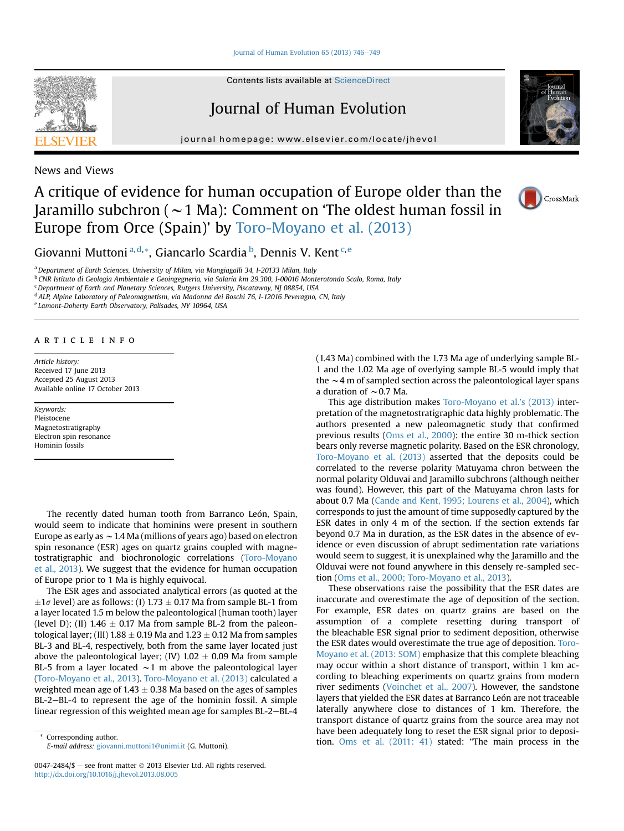[Journal of Human Evolution 65 \(2013\) 746](http://dx.doi.org/10.1016/j.jhevol.2013.08.005)-[749](http://dx.doi.org/10.1016/j.jhevol.2013.08.005)

Contents lists available at ScienceDirect

# Journal of Human Evolution

journal homepage: [www.elsevier.com/locate/jhevol](http://www.elsevier.com/locate/jhevol)



News and Views

## A critique of evidence for human occupation of Europe older than the Jaramillo subchron ( $\sim$  1 Ma): Comment on 'The oldest human fossil in Europe from Orce (Spain)' by [Toro-Moyano et al. \(2013\)](#page-3-0)



Giovanni Muttoni <sup>a,d,</sup>\*, Giancarlo Scardia <sup>b</sup>, Dennis V. Kent <sup>c, e</sup>

<sup>a</sup> Department of Earth Sciences, University of Milan, via Mangiagalli 34, I-20133 Milan, Italy

<sup>b</sup> CNR Istituto di Geologia Ambientale e Geoingegneria, via Salaria km 29.300, I-00016 Monterotondo Scalo, Roma, Italy

<sup>c</sup> Department of Earth and Planetary Sciences, Rutgers University, Piscataway, NJ 08854, USA

<sup>d</sup> ALP, Alpine Laboratory of Paleomagnetism, via Madonna dei Boschi 76, I-12016 Peveragno, CN, Italy

<sup>e</sup> Lamont-Doherty Earth Observatory, Palisades, NY 10964, USA

### article info

Article history: Received 17 June 2013 Accepted 25 August 2013 Available online 17 October 2013

## Keywords:

Pleistocene Magnetostratigraphy Electron spin resonance Hominin fossils

The recently dated human tooth from Barranco León, Spain, would seem to indicate that hominins were present in southern Europe as early as  $\sim$  1.4 Ma (millions of years ago) based on electron spin resonance (ESR) ages on quartz grains coupled with magnetostratigraphic and biochronologic correlations [\(Toro-Moyano](#page-3-0) [et al., 2013\)](#page-3-0). We suggest that the evidence for human occupation of Europe prior to 1 Ma is highly equivocal.

The ESR ages and associated analytical errors (as quoted at the  $\pm 1\sigma$  level) are as follows: (I) 1.73  $\pm$  0.17 Ma from sample BL-1 from a layer located 1.5 m below the paleontological (human tooth) layer (level D); (II)  $1.46 \pm 0.17$  Ma from sample BL-2 from the paleontological layer; (III)  $1.88 \pm 0.19$  Ma and  $1.23 \pm 0.12$  Ma from samples BL-3 and BL-4, respectively, both from the same layer located just above the paleontological layer; (IV)  $1.02 \pm 0.09$  Ma from sample BL-5 from a layer located  $\sim$ 1 m above the paleontological layer ([Toro-Moyano et al., 2013](#page-3-0)). [Toro-Moyano et al. \(2013\)](#page-3-0) calculated a weighted mean age of  $1.43 \pm 0.38$  Ma based on the ages of samples BL-2–BL-4 to represent the age of the hominin fossil. A simple linear regression of this weighted mean age for samples BL-2-BL-4

(1.43 Ma) combined with the 1.73 Ma age of underlying sample BL-1 and the 1.02 Ma age of overlying sample BL-5 would imply that the  $\sim$  4 m of sampled section across the paleontological layer spans a duration of  $\sim$  0.7 Ma.

This age distribution makes [Toro-Moyano et al.](#page-3-0)'s (2013) interpretation of the magnetostratigraphic data highly problematic. The authors presented a new paleomagnetic study that confirmed previous results [\(Oms et al., 2000](#page-2-0)): the entire 30 m-thick section bears only reverse magnetic polarity. Based on the ESR chronology, [Toro-Moyano et al. \(2013\)](#page-3-0) asserted that the deposits could be correlated to the reverse polarity Matuyama chron between the normal polarity Olduvai and Jaramillo subchrons (although neither was found). However, this part of the Matuyama chron lasts for about 0.7 Ma [\(Cande and Kent, 1995; Lourens et al., 2004\)](#page-2-0), which corresponds to just the amount of time supposedly captured by the ESR dates in only 4 m of the section. If the section extends far beyond 0.7 Ma in duration, as the ESR dates in the absence of evidence or even discussion of abrupt sedimentation rate variations would seem to suggest, it is unexplained why the Jaramillo and the Olduvai were not found anywhere in this densely re-sampled section [\(Oms et al., 2000; Toro-Moyano et al., 2013](#page-2-0)).

These observations raise the possibility that the ESR dates are inaccurate and overestimate the age of deposition of the section. For example, ESR dates on quartz grains are based on the assumption of a complete resetting during transport of the bleachable ESR signal prior to sediment deposition, otherwise the ESR dates would overestimate the true age of deposition. [Toro-](#page-3-0)[Moyano et al. \(2013: SOM\)](#page-3-0) emphasize that this complete bleaching may occur within a short distance of transport, within 1 km according to bleaching experiments on quartz grains from modern river sediments ([Voinchet et al., 2007\)](#page-3-0). However, the sandstone layers that yielded the ESR dates at Barranco León are not traceable laterally anywhere close to distances of 1 km. Therefore, the transport distance of quartz grains from the source area may not have been adequately long to reset the ESR signal prior to deposi-Corresponding author.<br>
E mail address: giovanni muttopi l@unimi it (C Muttopi) that the stated: "The main process in the

E-mail address: [giovanni.muttoni1@unimi.it](mailto:giovanni.muttoni1@unimi.it) (G. Muttoni).

<sup>0047-2484/\$ -</sup> see front matter  $\odot$  2013 Elsevier Ltd. All rights reserved. <http://dx.doi.org/10.1016/j.jhevol.2013.08.005>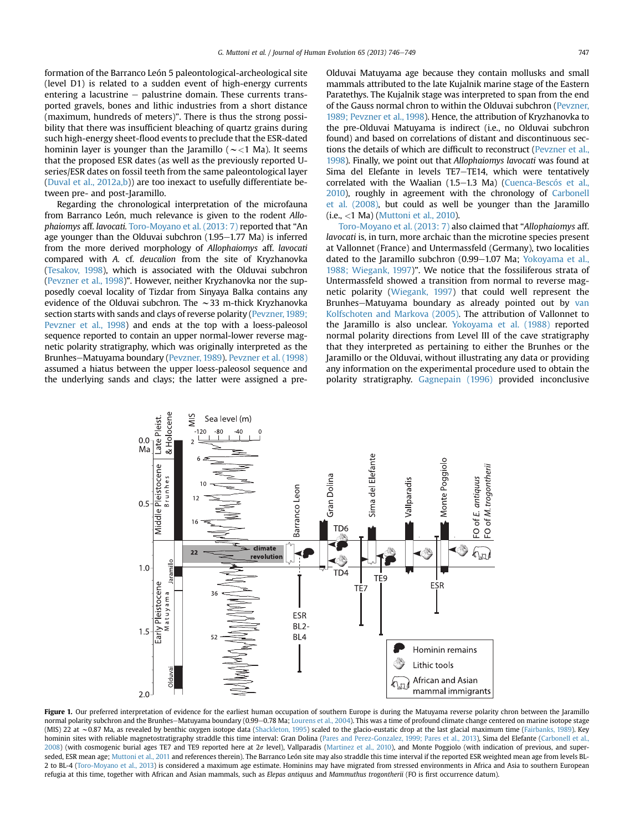<span id="page-1-0"></span>formation of the Barranco León 5 paleontological-archeological site (level D1) is related to a sudden event of high-energy currents entering a lacustrine  $-$  palustrine domain. These currents transported gravels, bones and lithic industries from a short distance (maximum, hundreds of meters)". There is thus the strong possibility that there was insufficient bleaching of quartz grains during such high-energy sheet-flood events to preclude that the ESR-dated hominin layer is younger than the Jaramillo ( $\sim$  <1 Ma). It seems that the proposed ESR dates (as well as the previously reported Useries/ESR dates on fossil teeth from the same paleontological layer ([Duval et al., 2012a,b](#page-2-0))) are too inexact to usefully differentiate between pre- and post-Jaramillo.

Regarding the chronological interpretation of the microfauna from Barranco León, much relevance is given to the rodent Allophaiomys aff. lavocati. [Toro-Moyano et al. \(2013: 7\)](#page-3-0) reported that "An age younger than the Olduvai subchron  $(1.95-1.77 \text{ Ma})$  is inferred from the more derived morphology of Allophaiomys aff. lavocati compared with A. cf. deucalion from the site of Kryzhanovka [\(Tesakov, 1998](#page-3-0)), which is associated with the Olduvai subchron [\(Pevzner et al., 1998\)](#page-2-0)". However, neither Kryzhanovka nor the supposedly coeval locality of Tizdar from Sinyaya Balka contains any evidence of the Olduvai subchron. The  $\sim$ 33 m-thick Kryzhanovka section starts with sands and clays of reverse polarity ([Pevzner, 1989;](#page-2-0) [Pevzner et al., 1998\)](#page-2-0) and ends at the top with a loess-paleosol sequence reported to contain an upper normal-lower reverse magnetic polarity stratigraphy, which was originally interpreted as the Brunhes-Matuyama boundary [\(Pevzner, 1989\)](#page-2-0). [Pevzner et al. \(1998\)](#page-2-0) assumed a hiatus between the upper loess-paleosol sequence and the underlying sands and clays; the latter were assigned a preOlduvai Matuyama age because they contain mollusks and small mammals attributed to the late Kujalnik marine stage of the Eastern Paratethys. The Kujalnik stage was interpreted to span from the end of the Gauss normal chron to within the Olduvai subchron ([Pevzner,](#page-2-0) [1989; Pevzner et al., 1998](#page-2-0)). Hence, the attribution of Kryzhanovka to the pre-Olduvai Matuyama is indirect (i.e., no Olduvai subchron found) and based on correlations of distant and discontinuous sections the details of which are difficult to reconstruct ([Pevzner et al.,](#page-2-0) [1998\)](#page-2-0). Finally, we point out that Allophaiomys lavocati was found at Sima del Elefante in levels TE7-TE14, which were tentatively correlated with the Waalian (1.5-1.3 Ma) [\(Cuenca-Bescós et al.,](#page-2-0) [2010](#page-2-0)), roughly in agreement with the chronology of [Carbonell](#page-2-0) [et al. \(2008\)](#page-2-0), but could as well be younger than the Jaramillo  $(i.e., < 1$  Ma) ([Muttoni et al., 2010](#page-2-0)).

[Toro-Moyano et al. \(2013: 7\)](#page-3-0) also claimed that "Allophaiomys aff. lavocati is, in turn, more archaic than the microtine species present at Vallonnet (France) and Untermassfeld (Germany), two localities dated to the Jaramillo subchron (0.99-1.07 Ma; [Yokoyama et al.,](#page-3-0) [1988; Wiegank, 1997\)](#page-3-0)". We notice that the fossiliferous strata of Untermassfeld showed a transition from normal to reverse magnetic polarity [\(Wiegank, 1997](#page-3-0)) that could well represent the Brunhes-Matuyama boundary as already pointed out by [van](#page-3-0) [Kolfschoten and Markova \(2005\).](#page-3-0) The attribution of Vallonnet to the Jaramillo is also unclear. [Yokoyama et al. \(1988\)](#page-3-0) reported normal polarity directions from Level III of the cave stratigraphy that they interpreted as pertaining to either the Brunhes or the Jaramillo or the Olduvai, without illustrating any data or providing any information on the experimental procedure used to obtain the polarity stratigraphy. [Gagnepain \(1996\)](#page-2-0) provided inconclusive



Figure 1. Our preferred interpretation of evidence for the earliest human occupation of southern Europe is during the Matuyama reverse polarity chron between the Jaramillo normal polarity subchron and the Brunhes-Matuyama boundary (0.99-0.78 Ma; [Lourens et al., 2004](#page-2-0)). This was a time of profound climate change centered on marine isotope stage (MIS) 22 at ~0.87 Ma, as revealed by benthic oxygen isotope data ([Shackleton, 1995](#page-2-0)) scaled to the glacio-eustatic drop at the last glacial maximum time ([Fairbanks, 1989\)](#page-2-0). Key hominin sites with reliable magnetostratigraphy straddle this time interval: Gran Dolina ([Pares and Perez-Gonzalez, 1999; Pares et al., 2013](#page-2-0)), Sima del Elefante ([Carbonell et al.,](#page-2-0) [2008](#page-2-0)) (with cosmogenic burial ages TE7 and TE9 reported here at 2o level), Vallparadis ([Martinez et al., 2010\)](#page-2-0), and Monte Poggiolo (with indication of previous, and super-seded, ESR mean age; [Muttoni et al., 2011](#page-2-0) and references therein). The Barranco León site may also straddle this time interval if the reported ESR weighted mean age from levels BL-2 to BL-4 ([Toro-Moyano et al., 2013\)](#page-3-0) is considered a maximum age estimate. Hominins may have migrated from stressed environments in Africa and Asia to southern European refugia at this time, together with African and Asian mammals, such as Elepas antiquus and Mammuthus trogontherii (FO is first occurrence datum).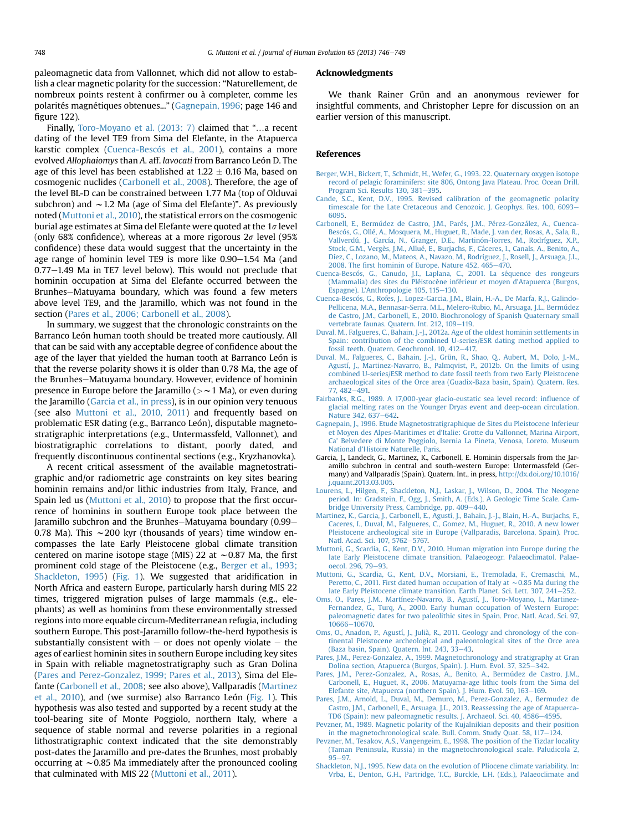<span id="page-2-0"></span>paleomagnetic data from Vallonnet, which did not allow to establish a clear magnetic polarity for the succession: "Naturellement, de nombreux points restent à confirmer ou à completer, comme les polarités magnétiques obtenues..." (Gagnepain, 1996; page 146 and figure 122).

Finally, [Toro-Moyano et al. \(2013: 7\)](#page-3-0) claimed that "...a recent dating of the level TE9 from Sima del Elefante, in the Atapuerca karstic complex (Cuenca-Bescós et al., 2001), contains a more evolved Allophaiomys than A. aff. lavocati from Barranco León D. The age of this level has been established at  $1.22 \pm 0.16$  Ma, based on cosmogenic nuclides (Carbonell et al., 2008). Therefore, the age of the level BL-D can be constrained between 1.77 Ma (top of Olduvai subchron) and  $\sim$  1.2 Ma (age of Sima del Elefante)". As previously noted (Muttoni et al., 2010), the statistical errors on the cosmogenic burial age estimates at Sima del Elefante were quoted at the  $1\sigma$  level (only 68% confidence), whereas at a more rigorous  $2\sigma$  level (95%) confidence) these data would suggest that the uncertainty in the age range of hominin level TE9 is more like  $0.90-1.54$  Ma (and  $0.77-1.49$  Ma in TE7 level below). This would not preclude that hominin occupation at Sima del Elefante occurred between the Brunhes-Matuyama boundary, which was found a few meters above level TE9, and the Jaramillo, which was not found in the section (Pares et al., 2006; Carbonell et al., 2008).

In summary, we suggest that the chronologic constraints on the Barranco León human tooth should be treated more cautiously. All that can be said with any acceptable degree of confidence about the age of the layer that yielded the human tooth at Barranco León is that the reverse polarity shows it is older than 0.78 Ma, the age of the Brunhes-Matuyama boundary. However, evidence of hominin presence in Europe before the Jaramillo ( $>$   $\sim$  1 Ma), or even during the Jaramillo (Garcia et al., in press), is in our opinion very tenuous (see also Muttoni et al., 2010, 2011) and frequently based on problematic ESR dating (e.g., Barranco León), disputable magnetostratigraphic interpretations (e.g., Untermassfeld, Vallonnet), and biostratigraphic correlations to distant, poorly dated, and frequently discontinuous continental sections (e.g., Kryzhanovka).

A recent critical assessment of the available magnetostratigraphic and/or radiometric age constraints on key sites bearing hominin remains and/or lithic industries from Italy, France, and Spain led us (Muttoni et al., 2010) to propose that the first occurrence of hominins in southern Europe took place between the Jaramillo subchron and the Brunhes-Matuyama boundary (0.99-0.78 Ma). This  $\sim$  200 kyr (thousands of years) time window encompasses the late Early Pleistocene global climate transition centered on marine isotope stage (MIS) 22 at  $\sim$  0.87 Ma, the first prominent cold stage of the Pleistocene (e.g., Berger et al., 1993; Shackleton, 1995) ([Fig. 1](#page-1-0)). We suggested that aridification in North Africa and eastern Europe, particularly harsh during MIS 22 times, triggered migration pulses of large mammals (e.g., elephants) as well as hominins from these environmentally stressed regions into more equable circum-Mediterranean refugia, including southern Europe. This post-Jaramillo follow-the-herd hypothesis is substantially consistent with  $-$  or does not openly violate  $-$  the ages of earliest hominin sites in southern Europe including key sites in Spain with reliable magnetostratigraphy such as Gran Dolina (Pares and Perez-Gonzalez, 1999; Pares et al., 2013), Sima del Elefante (Carbonell et al., 2008; see also above), Vallparadis (Martinez et al., 2010), and (we surmise) also Barranco León ([Fig. 1\)](#page-1-0). This hypothesis was also tested and supported by a recent study at the tool-bearing site of Monte Poggiolo, northern Italy, where a sequence of stable normal and reverse polarities in a regional lithostratigraphic context indicated that the site demonstrably post-dates the Jaramillo and pre-dates the Brunhes, most probably occurring at  $\sim$  0.85 Ma immediately after the pronounced cooling that culminated with MIS 22 (Muttoni et al., 2011).

### Acknowledgments

We thank Rainer Grün and an anonymous reviewer for insightful comments, and Christopher Lepre for discussion on an earlier version of this manuscript.

#### References

- [Berger, W.H., Bickert, T., Schmidt, H., Wefer, G., 1993. 22. Quaternary oxygen isotope](http://refhub.elsevier.com/S0047-2484(13)00201-7/sref1) [record of pelagic foraminifers: site 806, Ontong Java Plateau. Proc. Ocean Drill.](http://refhub.elsevier.com/S0047-2484(13)00201-7/sref1) [Program Sci. Results 130, 381](http://refhub.elsevier.com/S0047-2484(13)00201-7/sref1)-[395.](http://refhub.elsevier.com/S0047-2484(13)00201-7/sref1)
- [Cande, S.C., Kent, D.V., 1995. Revised calibration of the geomagnetic polarity](http://refhub.elsevier.com/S0047-2484(13)00201-7/sref2) [timescale for the Late Cretaceous and Cenozoic. J. Geophys. Res. 100, 6093](http://refhub.elsevier.com/S0047-2484(13)00201-7/sref2)-[6095.](http://refhub.elsevier.com/S0047-2484(13)00201-7/sref2)
- [Carbonell, E., Bermúdez de Castro, J.M., Parés, J.M., Pérez-González, A., Cuenca-](http://refhub.elsevier.com/S0047-2484(13)00201-7/sref3)[Bescós, G., Ollé, A., Mosquera, M., Huguet, R., Made, J. van der, Rosas, A., Sala, R.,](http://refhub.elsevier.com/S0047-2484(13)00201-7/sref3) [Vallverdú, J., García, N., Granger, D.E., Martinón-Torres, M., Rodríguez, X.P.,](http://refhub.elsevier.com/S0047-2484(13)00201-7/sref3) [Stock, G.M., Vergès, J.M., Allué, E., Burjachs, F., Cáceres, I., Canals, A., Benito, A.,](http://refhub.elsevier.com/S0047-2484(13)00201-7/sref3) [Díez, C., Lozano, M., Mateos, A., Navazo, M., Rodríguez, J., Rosell, J., Arsuaga, J.L.,](http://refhub.elsevier.com/S0047-2484(13)00201-7/sref3) 2008. The first hominin of Europe. Nature  $452, 465-470$ .
- [Cuenca-Bescós, G., Canudo, J.I., Laplana, C., 2001. La séquence des rongeurs](http://refhub.elsevier.com/S0047-2484(13)00201-7/sref4) [\(Mammalia\) des sites du Pléistocène inférieur et moyen d](http://refhub.elsevier.com/S0047-2484(13)00201-7/sref4)'Atapuerca (Burgos, Espagne). L'[Anthropologie 105, 115](http://refhub.elsevier.com/S0047-2484(13)00201-7/sref4)-[130](http://refhub.elsevier.com/S0047-2484(13)00201-7/sref4).
- [Cuenca-Bescós, G., Rofes, J., Lopez-Garcia, J.M., Blain, H.-A., De Marfa, R.J., Galindo-](http://refhub.elsevier.com/S0047-2484(13)00201-7/sref5)[Pellicena, M.A., Bennasar-Serra, M.L., Melero-Rubio, M., Arsuaga, J.L., Bermúdez](http://refhub.elsevier.com/S0047-2484(13)00201-7/sref5) [de Castro, J.M., Carbonell, E., 2010. Biochronology of Spanish Quaternary small](http://refhub.elsevier.com/S0047-2484(13)00201-7/sref5) [vertebrate faunas. Quatern. Int. 212, 109](http://refhub.elsevier.com/S0047-2484(13)00201-7/sref5)-[119](http://refhub.elsevier.com/S0047-2484(13)00201-7/sref5).
- [Duval, M., Falgueres, C., Bahain, J.-J., 2012a. Age of the oldest hominin settlements in](http://refhub.elsevier.com/S0047-2484(13)00201-7/sref6) [Spain: contribution of the combined U-series/ESR dating method applied to](http://refhub.elsevier.com/S0047-2484(13)00201-7/sref6) [fossil teeth. Quatern. Geochronol. 10, 412](http://refhub.elsevier.com/S0047-2484(13)00201-7/sref6)-[417.](http://refhub.elsevier.com/S0047-2484(13)00201-7/sref6)
- [Duval, M., Falgueres, C., Bahain, J.-J., Grün, R., Shao, Q., Aubert, M., Dolo, J.-M.,](http://refhub.elsevier.com/S0047-2484(13)00201-7/sref7) [Agustí, J., Martinez-Navarro, B., Palmqvist, P., 2012b. On the limits of using](http://refhub.elsevier.com/S0047-2484(13)00201-7/sref7) [combined U-series/ESR method to date fossil teeth from two Early Pleistocene](http://refhub.elsevier.com/S0047-2484(13)00201-7/sref7) [archaeological sites of the Orce area \(Guadix-Baza basin, Spain\). Quatern. Res.](http://refhub.elsevier.com/S0047-2484(13)00201-7/sref7)  $77.482 - 491.$  $77.482 - 491.$
- [Fairbanks, R.G., 1989. A 17,000-year glacio-eustatic sea level record: in](http://refhub.elsevier.com/S0047-2484(13)00201-7/sref8)fluence of [glacial melting rates on the Younger Dryas event and deep-ocean circulation.](http://refhub.elsevier.com/S0047-2484(13)00201-7/sref8) [Nature 342, 637](http://refhub.elsevier.com/S0047-2484(13)00201-7/sref8)-[642](http://refhub.elsevier.com/S0047-2484(13)00201-7/sref8).
- [Gagnepain, J., 1996. Etude Magnetostratigraphique de Sites du Pleistocene Inferieur](http://refhub.elsevier.com/S0047-2484(13)00201-7/sref9) et Moyen des Alpes-Maritimes et d'[Italie: Grotte du Vallonnet, Marina Airport,](http://refhub.elsevier.com/S0047-2484(13)00201-7/sref9) Ca' [Belvedere di Monte Poggiolo, Isernia La Pineta, Venosa, Loreto. Museum](http://refhub.elsevier.com/S0047-2484(13)00201-7/sref9) National d'[Histoire Naturelle, Paris](http://refhub.elsevier.com/S0047-2484(13)00201-7/sref9).
- Garcia, J., Landeck, G., Martinez, K., Carbonell, E. Hominin dispersals from the Jaramillo subchron in central and south-western Europe: Untermassfeld (Germany) and Vallparadís (Spain). Quatern. Int., in press, [http://dx.doi.org/10.1016/](http://dx.doi.org/10.1016/j.quaint.2013.03.005) [j.quaint.2013.03.005.](http://dx.doi.org/10.1016/j.quaint.2013.03.005)
- [Lourens, L., Hilgen, F., Shackleton, N.J., Laskar, J., Wilson, D., 2004. The Neogene](http://refhub.elsevier.com/S0047-2484(13)00201-7/sref10) [period. In: Gradstein, F., Ogg, J., Smith, A. \(Eds.\), A Geologic Time Scale. Cam](http://refhub.elsevier.com/S0047-2484(13)00201-7/sref10)[bridge University Press, Cambridge, pp. 409](http://refhub.elsevier.com/S0047-2484(13)00201-7/sref10)-[440.](http://refhub.elsevier.com/S0047-2484(13)00201-7/sref10)
- [Martinez, K., Garcia, J., Carbonell, E., Agustí, J., Bahain, J.-J., Blain, H.-A., Burjachs, F.,](http://refhub.elsevier.com/S0047-2484(13)00201-7/sref11) [Caceres, I., Duval, M., Falgueres, C., Gomez, M., Huguet, R., 2010. A new lower](http://refhub.elsevier.com/S0047-2484(13)00201-7/sref11) [Pleistocene archeological site in Europe \(Vallparadis, Barcelona, Spain\). Proc.](http://refhub.elsevier.com/S0047-2484(13)00201-7/sref11) [Natl. Acad. Sci. 107, 5762](http://refhub.elsevier.com/S0047-2484(13)00201-7/sref11)-[5767.](http://refhub.elsevier.com/S0047-2484(13)00201-7/sref11)
- [Muttoni, G., Scardia, G., Kent, D.V., 2010. Human migration into Europe during the](http://refhub.elsevier.com/S0047-2484(13)00201-7/sref12) [late Early Pleistocene climate transition. Palaeogeogr. Palaeoclimatol. Palae-](http://refhub.elsevier.com/S0047-2484(13)00201-7/sref12) $\alpha$ ecol. 296, 79–[93.](http://refhub.elsevier.com/S0047-2484(13)00201-7/sref12)
- [Muttoni, G., Scardia, G., Kent, D.V., Morsiani, E., Tremolada, F., Cremaschi, M.,](http://refhub.elsevier.com/S0047-2484(13)00201-7/sref13) [Peretto, C., 2011. First dated human occupation of Italy at](http://refhub.elsevier.com/S0047-2484(13)00201-7/sref13)  $\sim$  [0.85 Ma during the](http://refhub.elsevier.com/S0047-2484(13)00201-7/sref13) [late Early Pleistocene climate transition. Earth Planet. Sci. Lett. 307, 241](http://refhub.elsevier.com/S0047-2484(13)00201-7/sref13)-[252](http://refhub.elsevier.com/S0047-2484(13)00201-7/sref13).
- Oms, [O., Pares, J.M., Martínez-Navarro, B., Agustí, J., Toro-Moyano, I., Martinez-](http://refhub.elsevier.com/S0047-2484(13)00201-7/sref14)[Fernandez, G., Turq, A., 2000. Early human occupation of Western Europe:](http://refhub.elsevier.com/S0047-2484(13)00201-7/sref14) [paleomagnetic dates for two paleolithic sites in Spain. Proc. Natl. Acad. Sci. 97,](http://refhub.elsevier.com/S0047-2484(13)00201-7/sref14) [10666](http://refhub.elsevier.com/S0047-2484(13)00201-7/sref14)-10670
- [Oms, O., Anadon, P., Agustí, J., Julià, R., 2011. Geology and chronology of the con](http://refhub.elsevier.com/S0047-2484(13)00201-7/sref15)[tinental Pleistocene archeological and paleontological sites of the Orce area](http://refhub.elsevier.com/S0047-2484(13)00201-7/sref15) [\(Baza basin, Spain\). Quatern. Int. 243, 33](http://refhub.elsevier.com/S0047-2484(13)00201-7/sref15)-[43](http://refhub.elsevier.com/S0047-2484(13)00201-7/sref15).
- [Pares, J.M., Perez-Gonzalez, A., 1999. Magnetochronology and stratigraphy at Gran](http://refhub.elsevier.com/S0047-2484(13)00201-7/sref16) [Dolina section, Atapuerca \(Burgos, Spain\). J. Hum. Evol. 37, 325](http://refhub.elsevier.com/S0047-2484(13)00201-7/sref16)-[342.](http://refhub.elsevier.com/S0047-2484(13)00201-7/sref16)
- [Pares, J.M., Perez-Gonzalez, A., Rosas, A., Benito, A., Bermúdez de Castro, J.M.,](http://refhub.elsevier.com/S0047-2484(13)00201-7/sref17) [Carbonell, E., Huguet, R., 2006. Matuyama-age lithic tools from the Sima del](http://refhub.elsevier.com/S0047-2484(13)00201-7/sref17) [Elefante site, Atapuerca \(northern Spain\). J. Hum. Evol. 50, 163](http://refhub.elsevier.com/S0047-2484(13)00201-7/sref17)-[169](http://refhub.elsevier.com/S0047-2484(13)00201-7/sref17).
- [Pares, J.M., Arnold, L., Duval, M., Demuro, M., Perez-Gonzalez, A., Bermudez de](http://refhub.elsevier.com/S0047-2484(13)00201-7/sref18) [Castro, J.M., Carbonell, E., Arsuaga, J.L., 2013. Reassessing the age of Atapuerca-](http://refhub.elsevier.com/S0047-2484(13)00201-7/sref18)[TD6 \(Spain\): new paleomagnetic results. J. Archaeol. Sci. 40, 4586](http://refhub.elsevier.com/S0047-2484(13)00201-7/sref18)-[4595.](http://refhub.elsevier.com/S0047-2484(13)00201-7/sref18)
- [Pevzner, M., 1989. Magnetic polarity of the Kujalnikian deposits and their position](http://refhub.elsevier.com/S0047-2484(13)00201-7/sref19) [in the magnetochronological scale. Bull. Comm. Study Quat. 58, 117](http://refhub.elsevier.com/S0047-2484(13)00201-7/sref19)-[124](http://refhub.elsevier.com/S0047-2484(13)00201-7/sref19).
- [Pevzner, M., Tesakov, A.S., Vangengeim, E., 1998. The position of the Tizdar locality](http://refhub.elsevier.com/S0047-2484(13)00201-7/sref20) [\(Taman Peninsula, Russia\) in the magnetochronological scale. Paludicola 2,](http://refhub.elsevier.com/S0047-2484(13)00201-7/sref20)  $95 - 97$  $95 - 97$ .
- [Shackleton, N.J., 1995. New data on the evolution of Pliocene climate variability. In:](http://refhub.elsevier.com/S0047-2484(13)00201-7/sref21) [Vrba, E., Denton, G.H., Partridge, T.C., Burckle, L.H. \(Eds.\), Palaeoclimate and](http://refhub.elsevier.com/S0047-2484(13)00201-7/sref21)